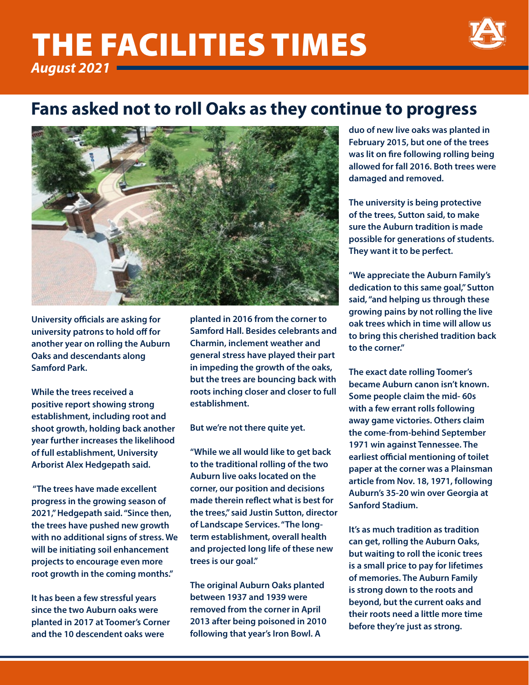# *August 2021* THE FACILITIES TIMES



## **Fans asked not to roll Oaks as they continue to progress**



**University officials are asking for university patrons to hold off for another year on rolling the Auburn Oaks and descendants along Samford Park.** 

**While the trees received a positive report showing strong establishment, including root and shoot growth, holding back another year further increases the likelihood of full establishment, University Arborist Alex Hedgepath said.** 

 **"The trees have made excellent progress in the growing season of 2021," Hedgepath said. "Since then, the trees have pushed new growth with no additional signs of stress. We will be initiating soil enhancement projects to encourage even more root growth in the coming months."** 

**It has been a few stressful years since the two Auburn oaks were planted in 2017 at Toomer's Corner and the 10 descendent oaks were** 

**planted in 2016 from the corner to Samford Hall. Besides celebrants and Charmin, inclement weather and general stress have played their part in impeding the growth of the oaks, but the trees are bouncing back with roots inching closer and closer to full establishment.** 

**But we're not there quite yet.** 

**"While we all would like to get back to the traditional rolling of the two Auburn live oaks located on the corner, our position and decisions made therein reflect what is best for the trees," said Justin Sutton, director of Landscape Services. "The longterm establishment, overall health and projected long life of these new trees is our goal."** 

**The original Auburn Oaks planted between 1937 and 1939 were removed from the corner in April 2013 after being poisoned in 2010 following that year's Iron Bowl. A** 

**duo of new live oaks was planted in February 2015, but one of the trees was lit on fire following rolling being allowed for fall 2016. Both trees were damaged and removed.** 

**The university is being protective of the trees, Sutton said, to make sure the Auburn tradition is made possible for generations of students. They want it to be perfect.** 

**"We appreciate the Auburn Family's dedication to this same goal," Sutton said, "and helping us through these growing pains by not rolling the live oak trees which in time will allow us to bring this cherished tradition back to the corner."** 

**The exact date rolling Toomer's became Auburn canon isn't known. Some people claim the mid- 60s with a few errant rolls following away game victories. Others claim the come-from-behind September 1971 win against Tennessee. The earliest official mentioning of toilet paper at the corner was a Plainsman article from Nov. 18, 1971, following Auburn's 35-20 win over Georgia at Sanford Stadium.** 

**It's as much tradition as tradition can get, rolling the Auburn Oaks, but waiting to roll the iconic trees is a small price to pay for lifetimes of memories. The Auburn Family is strong down to the roots and beyond, but the current oaks and their roots need a little more time before they're just as strong.**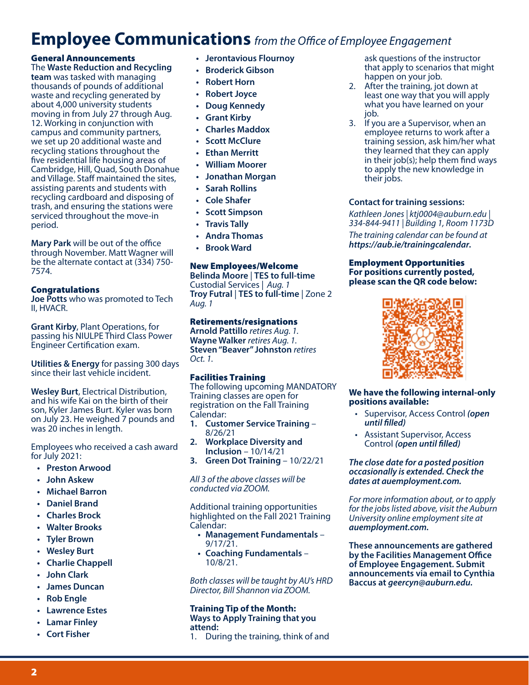### **Employee Communications** *from the Office of Employee Engagement*

#### General Announcements

The **Waste Reduction and Recycling team** was tasked with managing thousands of pounds of additional waste and recycling generated by about 4,000 university students moving in from July 27 through Aug. 12. Working in conjunction with campus and community partners, we set up 20 additional waste and recycling stations throughout the five residential life housing areas of Cambridge, Hill, Quad, South Donahue and Village. Staff maintained the sites, assisting parents and students with recycling cardboard and disposing of trash, and ensuring the stations were serviced throughout the move-in period.

**Mary Park** will be out of the office through November. Matt Wagner will be the alternate contact at (334) 750- 7574.

#### Congratulations

**Joe Potts** who was promoted to Tech II, HVACR.

**Grant Kirby**, Plant Operations, for passing his NIULPE Third Class Power Engineer Certification exam.

**Utilities & Energy** for passing 300 days since their last vehicle incident.

**Wesley Burt**, Electrical Distribution, and his wife Kai on the birth of their son, Kyler James Burt. Kyler was born on July 23. He weighed 7 pounds and was 20 inches in length.

Employees who received a cash award for July 2021:

- **• Preston Arwood**
- **• John Askew**
- **• Michael Barron**
- **• Daniel Brand**
- **• Charles Brock**
- **• Walter Brooks**
- **• Tyler Brown**
- **• Wesley Burt**
- **• Charlie Chappell**
- **• John Clark**
- **• James Duncan**
- **• Rob Engle**
- **• Lawrence Estes**
- **• Lamar Finley**
- **• Cort Fisher**
- **• Jerontavious Flournoy**
- **• Broderick Gibson**
- **• Robert Horn**
- **• Robert Joyce**
- **• Doug Kennedy**
- **• Grant Kirby**
- **• Charles Maddox**
- **• Scott McClure**
- **• Ethan Merritt**
- **• William Moorer**
- **• Jonathan Morgan**
- **• Sarah Rollins**
- **• Cole Shafer**
- **• Scott Simpson**
- **• Travis Tally**
- **• Andra Thomas**
- **• Brook Ward**

#### New Employees/Welcome

**Belinda Moore** | **TES to full-time** Custodial Services | *Aug. 1* **Troy Futral** | **TES to full-time** | Zone 2 *Aug. 1*

#### Retirements/resignations

**Arnold Pattillo** *retires Aug. 1.* **Wayne Walker** *retires Aug. 1.* **Steven "Beaver" Johnston** *retires Oct. 1.*

#### Facilities Training

The following upcoming MANDATORY Training classes are open for registration on the Fall Training Calendar:

- **1. Customer Service Training** 8/26/21
- **2. Workplace Diversity and Inclusion** – 10/14/21
- **3. Green Dot Training** 10/22/21

*All 3 of the above classes will be conducted via ZOOM.*

Additional training opportunities highlighted on the Fall 2021 Training Calendar:

- **• Management Fundamentals**  $9/17/21.$
- **• Coaching Fundamentals** 10/8/21.

*Both classes will be taught by AU's HRD Director, Bill Shannon via ZOOM.*

### **Training Tip of the Month: Ways to Apply Training that you**

**attend:**

1. During the training, think of and

ask questions of the instructor that apply to scenarios that might happen on your job.

- 2. After the training, jot down at least one way that you will apply what you have learned on your job.
- 3. If you are a Supervisor, when an employee returns to work after a training session, ask him/her what they learned that they can apply in their job(s); help them find ways to apply the new knowledge in their jobs.

#### **Contact for training sessions:**

*Kathleen Jones | ktj0004@auburn.edu | 334-844-9411 | Building 1, Room 1173D The training calendar can be found at https://aub.ie/trainingcalendar.*

#### Employment Opportunities **For positions currently posted, please scan the QR code below:**



#### **We have the following internal-only positions available:**

- Supervisor, Access Control *(open until filled)*
- Assistant Supervisor, Access Control *(open until filled)*

*The close date for a posted position occasionally is extended. Check the dates at auemployment.com.* 

*For more information about, or to apply for the jobs listed above, visit the Auburn University online employment site at auemployment.com.*

**These announcements are gathered by the Facilities Management Office of Employee Engagement. Submit announcements via email to Cynthia Baccus at** *geercyn@auburn.edu.*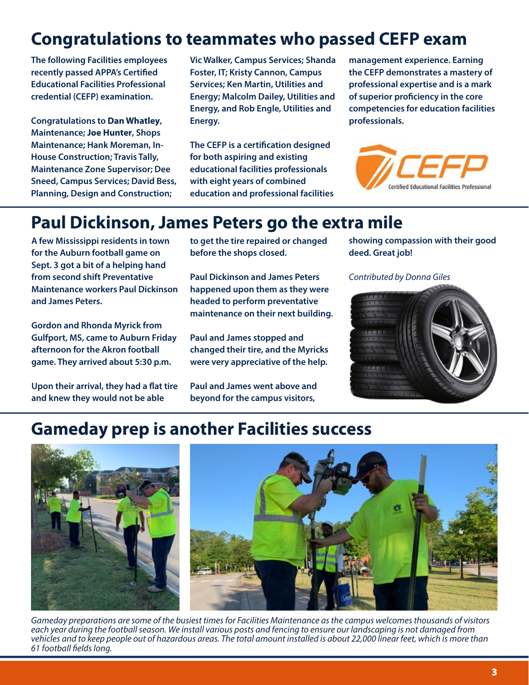# **Congratulations to teammates who passed CEFP exam**

**The following Facilities employees recently passed APPA's Certified Educational Facilities Professional credential (CEFP) examination.** 

**Congratulations to Dan Whatley, Maintenance; Joe Hunter, Shops Maintenance; Hank Moreman, In-House Construction; Travis Tally, Maintenance Zone Supervisor; Dee Sneed, Campus Services; David Bess, Planning, Design and Construction;** 

**Vic Walker, Campus Services; Shanda Foster, IT; Kristy Cannon, Campus Services; Ken Martin, Utilities and Energy; Malcolm Dailey, Utilities and Energy, and Rob Engle, Utilities and Energy.**

**The CEFP is a certification designed for both aspiring and existing educational facilities professionals with eight years of combined education and professional facilities**  **management experience. Earning the CEFP demonstrates a mastery of professional expertise and is a mark of superior proficiency in the core competencies for education facilities professionals.**



### **Paul Dickinson, James Peters go the extra mile**

**A few Mississippi residents in town for the Auburn football game on Sept. 3 got a bit of a helping hand from second shift Preventative Maintenance workers Paul Dickinson and James Peters.**

**Gordon and Rhonda Myrick from Gulfport, MS, came to Auburn Friday afternoon for the Akron football game. They arrived about 5:30 p.m.** 

**Upon their arrival, they had a flat tire and knew they would not be able** 

**to get the tire repaired or changed before the shops closed.** 

**Paul Dickinson and James Peters happened upon them as they were headed to perform preventative maintenance on their next building.**

**Paul and James stopped and changed their tire, and the Myricks were very appreciative of the help.**

**Paul and James went above and beyond for the campus visitors,** 

**showing compassion with their good deed. Great job!**

*Contributed by Donna Giles*



### **Gameday prep is another Facilities success**



*Gameday preparations are some of the busiest times for Facilities Maintenance as the campus welcomes thousands of visitors each year during the football season. We install various posts and fencing to ensure our landscaping is not damaged from vehicles and to keep people out of hazardous areas. The total amount installed is about 22,000 linear feet, which is more than 61 football fields long.*